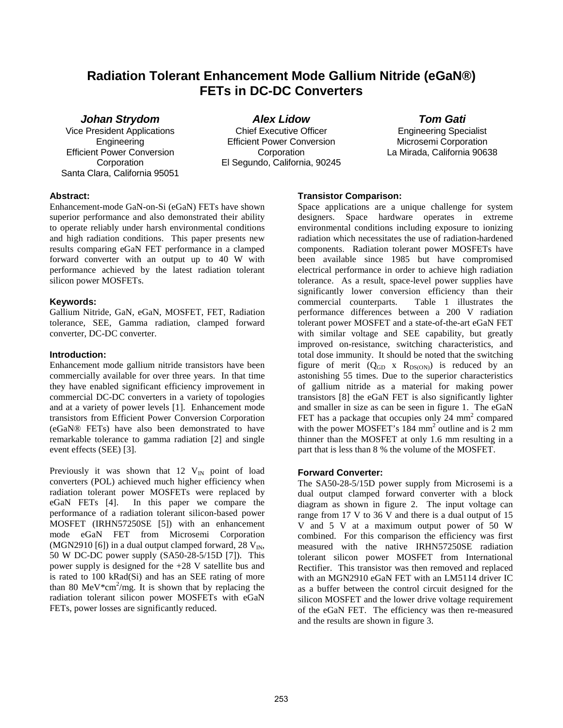# **Radiation Tolerant Enhancement Mode Gallium Nitride (eGaN®) FETs in DC-DC Converters**

**Johan Strydom**

Vice President Applications Engineering Efficient Power Conversion **Corporation** Santa Clara, California 95051

**Alex Lidow**  Chief Executive Officer Efficient Power Conversion **Corporation** El Segundo, California, 90245 **Tom Gati** 

Engineering Specialist Microsemi Corporation La Mirada, California 90638

## **Abstract:**

Enhancement-mode GaN-on-Si (eGaN) FETs have shown superior performance and also demonstrated their ability to operate reliably under harsh environmental conditions and high radiation conditions. This paper presents new results comparing eGaN FET performance in a clamped forward converter with an output up to 40 W with performance achieved by the latest radiation tolerant silicon power MOSFETs.

## **Keywords:**

Gallium Nitride, GaN, eGaN, MOSFET, FET, Radiation tolerance, SEE, Gamma radiation, clamped forward converter, DC-DC converter.

## **Introduction:**

Enhancement mode gallium nitride transistors have been commercially available for over three years. In that time they have enabled significant efficiency improvement in commercial DC-DC converters in a variety of topologies and at a variety of power levels [1]. Enhancement mode transistors from Efficient Power Conversion Corporation (eGaN® FETs) have also been demonstrated to have remarkable tolerance to gamma radiation [2] and single event effects (SEE) [3].

Previously it was shown that  $12$  V<sub>IN</sub> point of load converters (POL) achieved much higher efficiency when radiation tolerant power MOSFETs were replaced by eGaN FETs [4]. In this paper we compare the performance of a radiation tolerant silicon-based power MOSFET (IRHN57250SE [5]) with an enhancement mode eGaN FET from Microsemi Corporation (MGN2910 [6]) in a dual output clamped forward, 28  $V_{\text{IN}}$ , 50 W DC-DC power supply (SA50-28-5/15D [7]). This power supply is designed for the +28 V satellite bus and is rated to 100 kRad(Si) and has an SEE rating of more than 80 MeV $*$ cm<sup>2</sup>/mg. It is shown that by replacing the radiation tolerant silicon power MOSFETs with eGaN FETs, power losses are significantly reduced.

# **Transistor Comparison:**

Space applications are a unique challenge for system designers. Space hardware operates in extreme environmental conditions including exposure to ionizing radiation which necessitates the use of radiation-hardened components. Radiation tolerant power MOSFETs have been available since 1985 but have compromised electrical performance in order to achieve high radiation tolerance. As a result, space-level power supplies have significantly lower conversion efficiency than their commercial counterparts. Table 1 illustrates the performance differences between a 200 V radiation tolerant power MOSFET and a state-of-the-art eGaN FET with similar voltage and SEE capability, but greatly improved on-resistance, switching characteristics, and total dose immunity. It should be noted that the switching figure of merit  $(Q_{GD} \times R_{DS(ON)})$  is reduced by an astonishing 55 times. Due to the superior characteristics of gallium nitride as a material for making power transistors [8] the eGaN FET is also significantly lighter and smaller in size as can be seen in figure 1. The eGaN FET has a package that occupies only  $24 \text{ mm}^2$  compared with the power MOSFET's  $184 \text{ mm}^2$  outline and is  $2 \text{ mm}$ thinner than the MOSFET at only 1.6 mm resulting in a part that is less than 8 % the volume of the MOSFET.

## **Forward Converter:**

The SA50-28-5/15D power supply from Microsemi is a dual output clamped forward converter with a block diagram as shown in figure 2. The input voltage can range from 17 V to 36 V and there is a dual output of 15 V and 5 V at a maximum output power of 50 W combined. For this comparison the efficiency was first measured with the native IRHN57250SE radiation tolerant silicon power MOSFET from International Rectifier. This transistor was then removed and replaced with an MGN2910 eGaN FET with an LM5114 driver IC as a buffer between the control circuit designed for the silicon MOSFET and the lower drive voltage requirement of the eGaN FET. The efficiency was then re-measured and the results are shown in figure 3.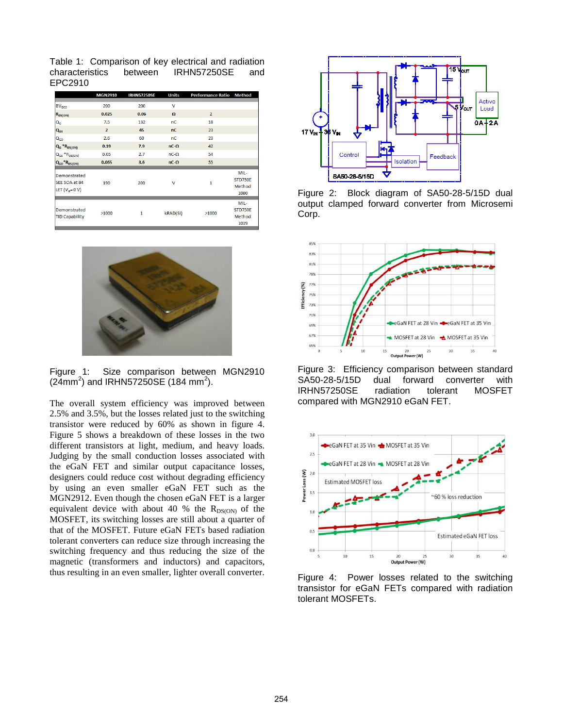Table 1: Comparison of key electrical and radiation characteristics between IRHN57250SE and EPC2910

|                                                | <b>MGN2910</b> | <b>IRHN57250SE</b> | <b>Units</b> | <b>Performance Ratio Method</b> |                |
|------------------------------------------------|----------------|--------------------|--------------|---------------------------------|----------------|
| <b>BV<sub>DSS</sub></b>                        | 200            | 200                | v            |                                 |                |
| $R_{DS(ON)}$                                   | 0.025          | 0.06               | $\Omega$     | $\overline{2}$                  |                |
| $\mathsf{Q}_{\mathsf{G}}$                      | 7.5            | 132                | nC           | 18                              |                |
| $Q_{GS}$                                       | $\overline{2}$ | 45                 | nC           | 23                              |                |
| $Q_{GD}$                                       | 2.6            | 60                 | пC           | 23                              |                |
| $\mathbf{Q}_{\mathsf{G}}$ *R <sub>DS(ON)</sub> | 0.19           | 7.9                | $nC-\Omega$  | 42                              |                |
| $Q_{GS}$ *R <sub>DS(ON)</sub>                  | 0.05           | 2.7                | $nC-\Omega$  | 54                              |                |
| $Q_{GD}$ <sup>*</sup> $R_{DS(ON)}$             | 0.065          | 3.6                | $nC-\Omega$  | 55                              |                |
|                                                |                |                    |              |                                 | MIL-           |
| Demonstrated                                   |                |                    |              |                                 | <b>STD750E</b> |
| SEE SOA at 84                                  | 190            | 200                | v            | 1                               | Method         |
| LET $(Va=0 V)$                                 |                |                    |              |                                 | 1080           |
|                                                |                |                    |              |                                 |                |
|                                                |                |                    |              |                                 | MIL-           |
| Demonstrated<br><b>TID Capability</b>          | >1000          | 1                  | kRAD(Si)     | >1000                           | <b>STD750E</b> |
|                                                |                |                    |              |                                 | Method         |
|                                                |                |                    |              |                                 | 1019           |



Figure 1: Size comparison between MGN2910  $(24mm^2)$  and IRHN57250SE (184 mm<sup>2</sup>).

The overall system efficiency was improved between 2.5% and 3.5%, but the losses related just to the switching transistor were reduced by 60% as shown in figure 4. Figure 5 shows a breakdown of these losses in the two different transistors at light, medium, and heavy loads. Judging by the small conduction losses associated with the eGaN FET and similar output capacitance losses, designers could reduce cost without degrading efficiency by using an even smaller eGaN FET such as the MGN2912. Even though the chosen eGaN FET is a larger equivalent device with about 40 % the  $R_{DS(ON)}$  of the MOSFET, its switching losses are still about a quarter of that of the MOSFET. Future eGaN FETs based radiation tolerant converters can reduce size through increasing the switching frequency and thus reducing the size of the magnetic (transformers and inductors) and capacitors, thus resulting in an even smaller, lighter overall converter.



Figure 2: Block diagram of SA50-28-5/15D dual output clamped forward converter from Microsemi Corp.



Figure 3: Efficiency comparison between standard SA50-28-5/15D dual forward converter with IRHN57250SE radiation tolerant MOSFET compared with MGN2910 eGaN FET.



Figure 4: Power losses related to the switching transistor for eGaN FETs compared with radiation tolerant MOSFETs.